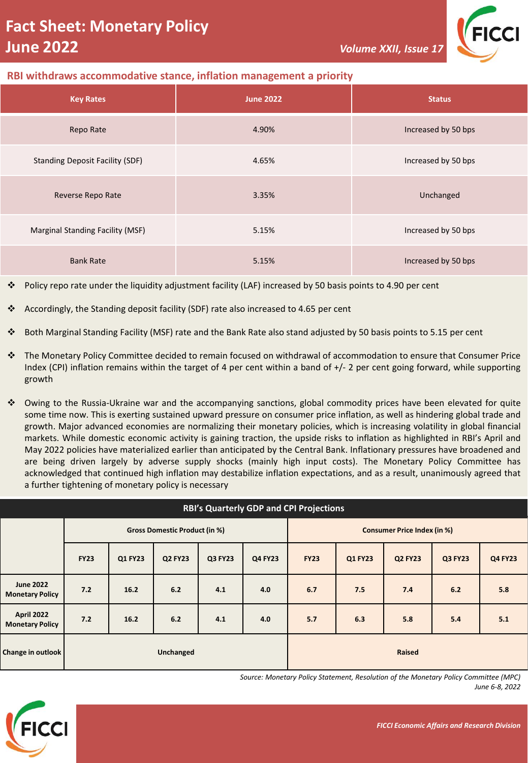

# **RBI withdraws accommodative stance, inflation management a priority**

| <b>Key Rates</b>                        | <b>June 2022</b> | <b>Status</b>       |  |  |
|-----------------------------------------|------------------|---------------------|--|--|
| Repo Rate                               | 4.90%            | Increased by 50 bps |  |  |
| <b>Standing Deposit Facility (SDF)</b>  | 4.65%            | Increased by 50 bps |  |  |
| Reverse Repo Rate                       | 3.35%            | Unchanged           |  |  |
| <b>Marginal Standing Facility (MSF)</b> | 5.15%            | Increased by 50 bps |  |  |
| <b>Bank Rate</b>                        | 5.15%            | Increased by 50 bps |  |  |

❖ Policy repo rate under the liquidity adjustment facility (LAF) increased by 50 basis points to 4.90 per cent

- ❖ Accordingly, the Standing deposit facility (SDF) rate also increased to 4.65 per cent
- ❖ Both Marginal Standing Facility (MSF) rate and the Bank Rate also stand adjusted by 50 basis points to 5.15 per cent
- ❖ The Monetary Policy Committee decided to remain focused on withdrawal of accommodation to ensure that Consumer Price Index (CPI) inflation remains within the target of 4 per cent within a band of +/- 2 per cent going forward, while supporting growth
- ❖ Owing to the Russia-Ukraine war and the accompanying sanctions, global commodity prices have been elevated for quite some time now. This is exerting sustained upward pressure on consumer price inflation, as well as hindering global trade and growth. Major advanced economies are normalizing their monetary policies, which is increasing volatility in global financial markets. While domestic economic activity is gaining traction, the upside risks to inflation as highlighted in RBI's April and May 2022 policies have materialized earlier than anticipated by the Central Bank. Inflationary pressures have broadened and are being driven largely by adverse supply shocks (mainly high input costs). The Monetary Policy Committee has acknowledged that continued high inflation may destabilize inflation expectations, and as a result, unanimously agreed that a further tightening of monetary policy is necessary

| <b>RBI's Quarterly GDP and CPI Projections</b> |                                      |         |                |         |                                    |             |         |                |         |                |  |  |
|------------------------------------------------|--------------------------------------|---------|----------------|---------|------------------------------------|-------------|---------|----------------|---------|----------------|--|--|
|                                                | <b>Gross Domestic Product (in %)</b> |         |                |         | <b>Consumer Price Index (in %)</b> |             |         |                |         |                |  |  |
|                                                | <b>FY23</b>                          | Q1 FY23 | <b>Q2 FY23</b> | Q3 FY23 | Q4 FY23                            | <b>FY23</b> | Q1 FY23 | <b>Q2 FY23</b> | Q3 FY23 | <b>Q4 FY23</b> |  |  |
| <b>June 2022</b><br><b>Monetary Policy</b>     | 7.2                                  | 16.2    | 6.2            | 4.1     | 4.0                                | 6.7         | 7.5     | 7.4            | 6.2     | 5.8            |  |  |
| April 2022<br><b>Monetary Policy</b>           | 7.2                                  | 16.2    | 6.2            | 4.1     | 4.0                                | 5.7         | 6.3     | 5.8            | 5.4     | 5.1            |  |  |
| Change in outlook                              | Unchanged                            |         |                |         | Raised                             |             |         |                |         |                |  |  |

*Source: Monetary Policy Statement, Resolution of the Monetary Policy Committee (MPC) June 6-8, 2022*

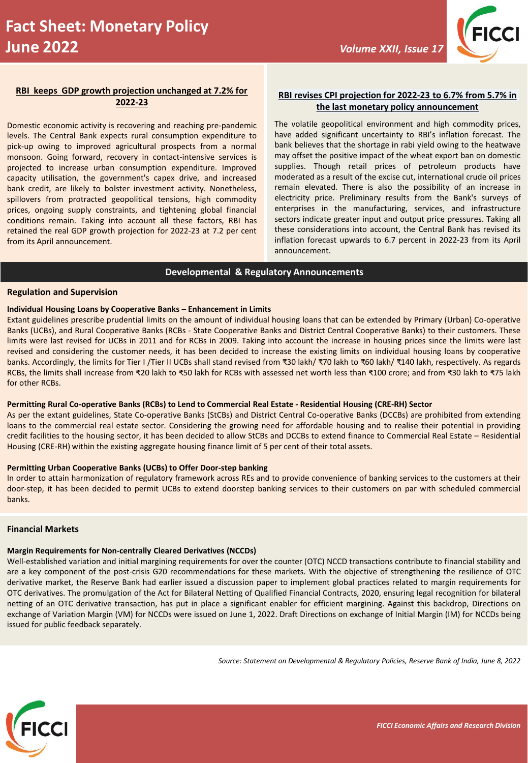

### **RBI keeps GDP growth projection unchanged at 7.2% for 2022-23**

Domestic economic activity is recovering and reaching pre-pandemic levels. The Central Bank expects rural consumption expenditure to pick-up owing to improved agricultural prospects from a normal monsoon. Going forward, recovery in contact-intensive services is projected to increase urban consumption expenditure. Improved capacity utilisation, the government's capex drive, and increased bank credit, are likely to bolster investment activity. Nonetheless, spillovers from protracted geopolitical tensions, high commodity prices, ongoing supply constraints, and tightening global financial conditions remain. Taking into account all these factors, RBI has retained the real GDP growth projection for 2022-23 at 7.2 per cent from its April announcement.

### **RBI revises CPI projection for 2022-23 to 6.7% from 5.7% in the last monetary policy announcement**

The volatile geopolitical environment and high commodity prices, have added significant uncertainty to RBI's inflation forecast. The bank believes that the shortage in rabi yield owing to the heatwave may offset the positive impact of the wheat export ban on domestic supplies. Though retail prices of petroleum products have moderated as a result of the excise cut, international crude oil prices remain elevated. There is also the possibility of an increase in electricity price. Preliminary results from the Bank's surveys of enterprises in the manufacturing, services, and infrastructure sectors indicate greater input and output price pressures. Taking all these considerations into account, the Central Bank has revised its inflation forecast upwards to 6.7 percent in 2022-23 from its April announcement.

### **Developmental & Regulatory Announcements**

#### **Regulation and Supervision**

#### **Individual Housing Loans by Cooperative Banks – Enhancement in Limits**

Extant guidelines prescribe prudential limits on the amount of individual housing loans that can be extended by Primary (Urban) Co-operative Banks (UCBs), and Rural Cooperative Banks (RCBs - State Cooperative Banks and District Central Cooperative Banks) to their customers. These limits were last revised for UCBs in 2011 and for RCBs in 2009. Taking into account the increase in housing prices since the limits were last revised and considering the customer needs, it has been decided to increase the existing limits on individual housing loans by cooperative banks. Accordingly, the limits for Tier I /Tier II UCBs shall stand revised from ₹30 lakh/ ₹70 lakh to ₹60 lakh/ ₹140 lakh, respectively. As regards RCBs, the limits shall increase from ₹20 lakh to ₹50 lakh for RCBs with assessed net worth less than ₹100 crore; and from ₹30 lakh to ₹75 lakh for other RCBs.

#### Permitting Rural Co-operative Banks (RCBs) to Lend to Commercial Real Estate - Residential Housing (CRE-RH) Sector

As per the extant guidelines, State Co-operative Banks (StCBs) and District Central Co-operative Banks (DCCBs) are prohibited from extending loans to the commercial real estate sector. Considering the growing need for affordable housing and to realise their potential in providing credit facilities to the housing sector, it has been decided to allow StCBs and DCCBs to extend finance to Commercial Real Estate - Residential Housing (CRE-RH) within the existing aggregate housing finance limit of 5 per cent of their total assets.

#### **Permitting Urban Cooperative Banks (UCBs) to Offer Door-step banking**

In order to attain harmonization of regulatory framework across REs and to provide convenience of banking services to the customers at their door-step, it has been decided to permit UCBs to extend doorstep banking services to their customers on par with scheduled commercial banks.

### **Financial Markets**

## **Margin Requirements for Non-centrally Cleared Derivatives (NCCDs)**

Well-established variation and initial margining requirements for over the counter (OTC) NCCD transactions contribute to financial stability and are a key component of the post-crisis G20 recommendations for these markets. With the objective of strengthening the resilience of OTC derivative market, the Reserve Bank had earlier issued a discussion paper to implement global practices related to margin requirements for OTC derivatives. The promulgation of the Act for Bilateral Netting of Qualified Financial Contracts, 2020, ensuring legal recognition for bilateral netting of an OTC derivative transaction, has put in place a significant enabler for efficient margining. Against this backdrop, Directions on exchange of Variation Margin (VM) for NCCDs were issued on June 1, 2022. Draft Directions on exchange of Initial Margin (IM) for NCCDs being issued for public feedback separately.